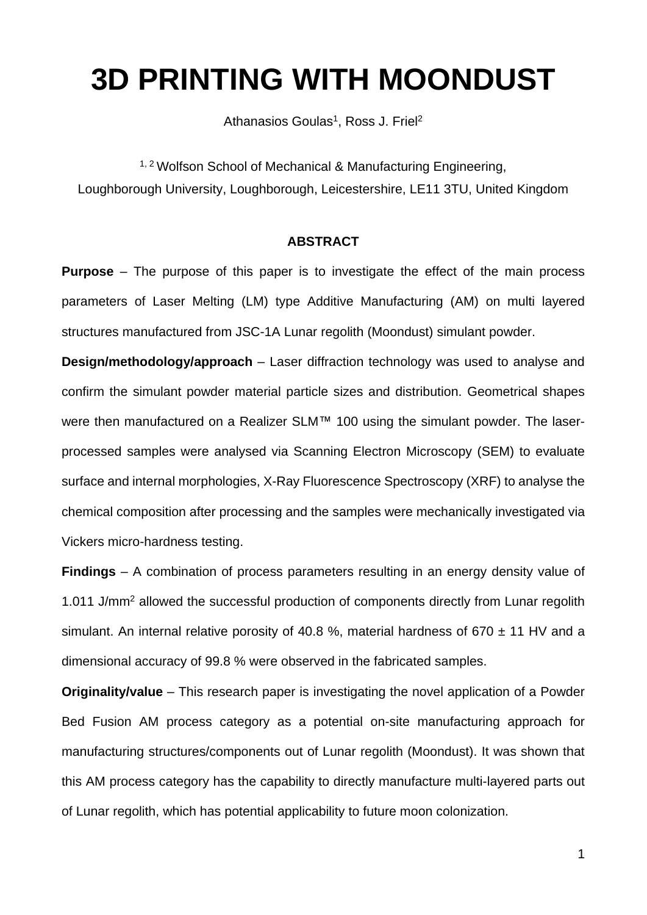# **3D PRINTING WITH MOONDUST**

Athanasios Goulas<sup>1</sup>, Ross J. Friel<sup>2</sup>

<sup>1, 2</sup> Wolfson School of Mechanical & Manufacturing Engineering, Loughborough University, Loughborough, Leicestershire, LE11 3TU, United Kingdom

### **ABSTRACT**

**Purpose** – The purpose of this paper is to investigate the effect of the main process parameters of Laser Melting (LM) type Additive Manufacturing (AM) on multi layered structures manufactured from JSC-1A Lunar regolith (Moondust) simulant powder.

**Design/methodology/approach** – Laser diffraction technology was used to analyse and confirm the simulant powder material particle sizes and distribution. Geometrical shapes were then manufactured on a Realizer SLM™ 100 using the simulant powder. The laserprocessed samples were analysed via Scanning Electron Microscopy (SEM) to evaluate surface and internal morphologies, X-Ray Fluorescence Spectroscopy (XRF) to analyse the chemical composition after processing and the samples were mechanically investigated via Vickers micro-hardness testing.

**Findings** – A combination of process parameters resulting in an energy density value of 1.011 J/mm<sup>2</sup> allowed the successful production of components directly from Lunar regolith simulant. An internal relative porosity of 40.8 %, material hardness of 670  $\pm$  11 HV and a dimensional accuracy of 99.8 % were observed in the fabricated samples.

**Originality/value** – This research paper is investigating the novel application of a Powder Bed Fusion AM process category as a potential on-site manufacturing approach for manufacturing structures/components out of Lunar regolith (Moondust). It was shown that this AM process category has the capability to directly manufacture multi-layered parts out of Lunar regolith, which has potential applicability to future moon colonization.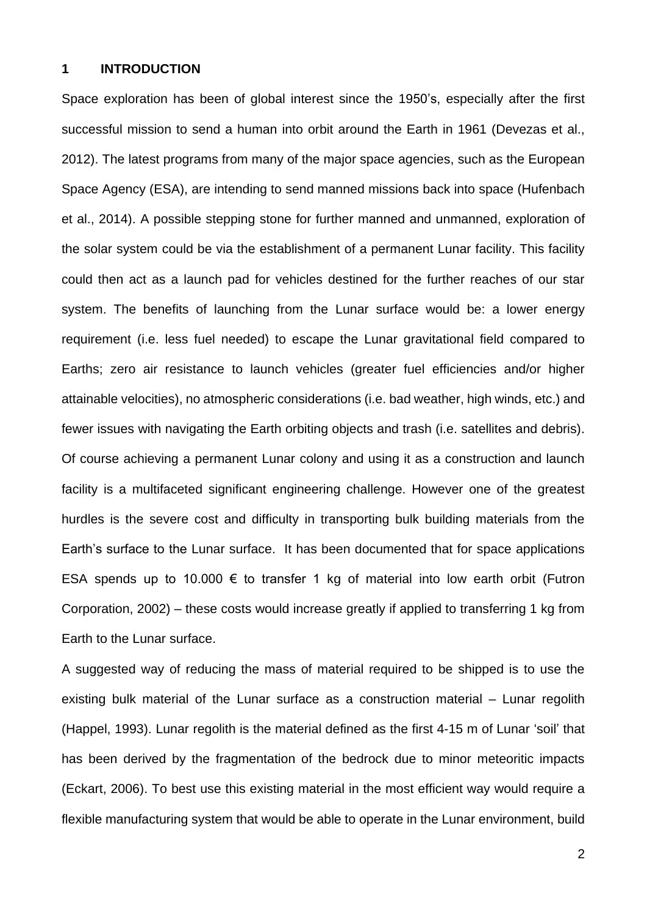### **1 INTRODUCTION**

Space exploration has been of global interest since the 1950's, especially after the first successful mission to send a human into orbit around the Earth in 1961 (Devezas et al., 2012). The latest programs from many of the major space agencies, such as the European Space Agency (ESA), are intending to send manned missions back into space (Hufenbach et al., 2014). A possible stepping stone for further manned and unmanned, exploration of the solar system could be via the establishment of a permanent Lunar facility. This facility could then act as a launch pad for vehicles destined for the further reaches of our star system. The benefits of launching from the Lunar surface would be: a lower energy requirement (i.e. less fuel needed) to escape the Lunar gravitational field compared to Earths; zero air resistance to launch vehicles (greater fuel efficiencies and/or higher attainable velocities), no atmospheric considerations (i.e. bad weather, high winds, etc.) and fewer issues with navigating the Earth orbiting objects and trash (i.e. satellites and debris). Of course achieving a permanent Lunar colony and using it as a construction and launch facility is a multifaceted significant engineering challenge. However one of the greatest hurdles is the severe cost and difficulty in transporting bulk building materials from the Earth's surface to the Lunar surface. It has been documented that for space applications ESA spends up to 10.000  $\epsilon$  to transfer 1 kg of material into low earth orbit (Futron Corporation, 2002) – these costs would increase greatly if applied to transferring 1 kg from Earth to the Lunar surface.

A suggested way of reducing the mass of material required to be shipped is to use the existing bulk material of the Lunar surface as a construction material – Lunar regolith (Happel, 1993). Lunar regolith is the material defined as the first 4-15 m of Lunar 'soil' that has been derived by the fragmentation of the bedrock due to minor meteoritic impacts (Eckart, 2006). To best use this existing material in the most efficient way would require a flexible manufacturing system that would be able to operate in the Lunar environment, build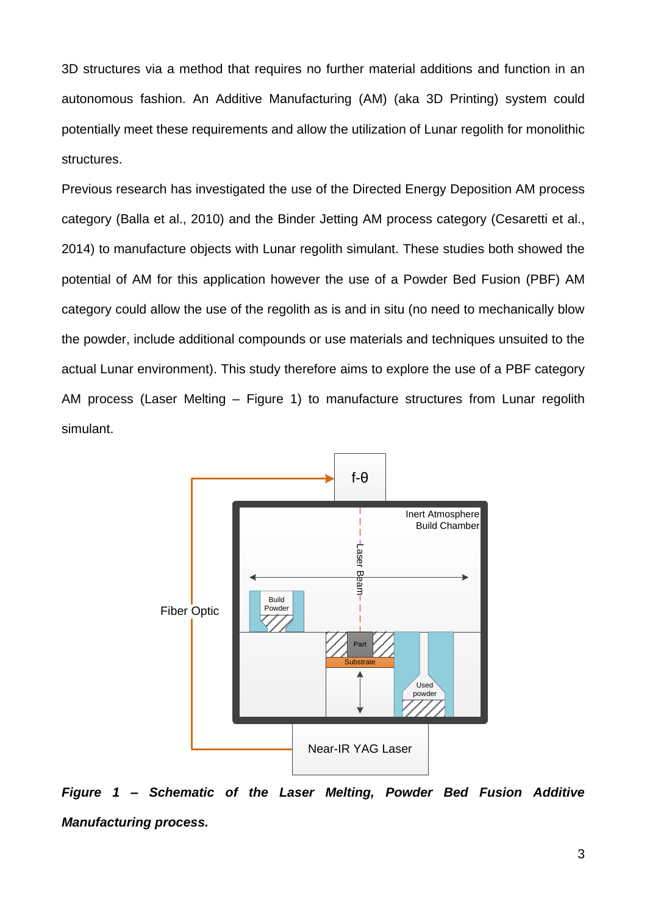3D structures via a method that requires no further material additions and function in an autonomous fashion. An Additive Manufacturing (AM) (aka 3D Printing) system could potentially meet these requirements and allow the utilization of Lunar regolith for monolithic structures.

Previous research has investigated the use of the Directed Energy Deposition AM process category (Balla et al., 2010) and the Binder Jetting AM process category (Cesaretti et al., 2014) to manufacture objects with Lunar regolith simulant. These studies both showed the potential of AM for this application however the use of a Powder Bed Fusion (PBF) AM category could allow the use of the regolith as is and in situ (no need to mechanically blow the powder, include additional compounds or use materials and techniques unsuited to the actual Lunar environment). This study therefore aims to explore the use of a PBF category AM process (Laser Melting – Figure 1) to manufacture structures from Lunar regolith simulant.



*Figure 1 – Schematic of the Laser Melting, Powder Bed Fusion Additive Manufacturing process.*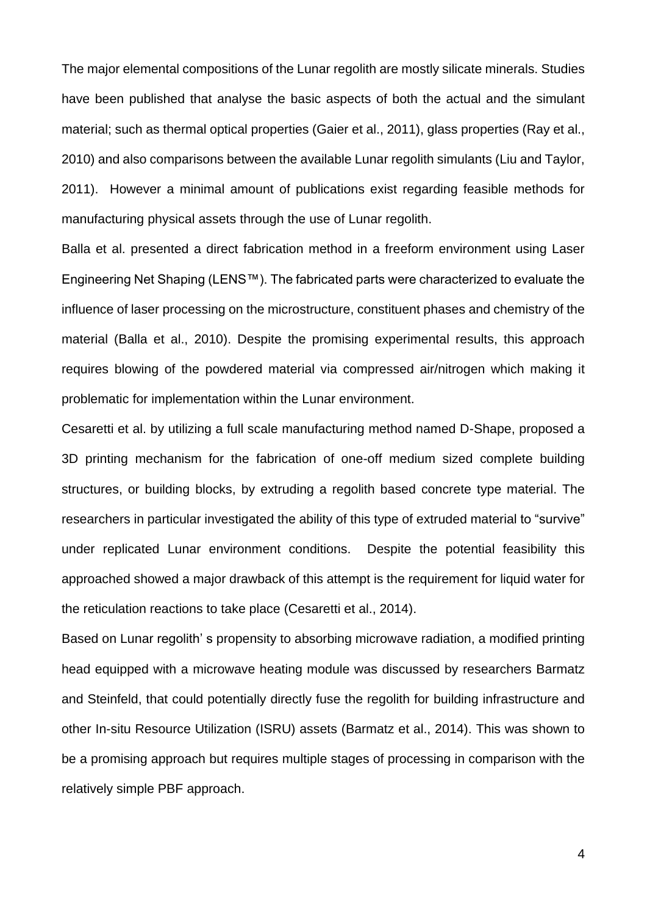The major elemental compositions of the Lunar regolith are mostly silicate minerals. Studies have been published that analyse the basic aspects of both the actual and the simulant material; such as thermal optical properties (Gaier et al., 2011), glass properties (Ray et al., 2010) and also comparisons between the available Lunar regolith simulants (Liu and Taylor, 2011). However a minimal amount of publications exist regarding feasible methods for manufacturing physical assets through the use of Lunar regolith.

Balla et al. presented a direct fabrication method in a freeform environment using Laser Engineering Net Shaping (LENS™). The fabricated parts were characterized to evaluate the influence of laser processing on the microstructure, constituent phases and chemistry of the material (Balla et al., 2010). Despite the promising experimental results, this approach requires blowing of the powdered material via compressed air/nitrogen which making it problematic for implementation within the Lunar environment.

Cesaretti et al. by utilizing a full scale manufacturing method named D-Shape, proposed a 3D printing mechanism for the fabrication of one-off medium sized complete building structures, or building blocks, by extruding a regolith based concrete type material. The researchers in particular investigated the ability of this type of extruded material to "survive" under replicated Lunar environment conditions. Despite the potential feasibility this approached showed a major drawback of this attempt is the requirement for liquid water for the reticulation reactions to take place (Cesaretti et al., 2014).

Based on Lunar regolith' s propensity to absorbing microwave radiation, a modified printing head equipped with a microwave heating module was discussed by researchers Barmatz and Steinfeld, that could potentially directly fuse the regolith for building infrastructure and other In-situ Resource Utilization (ISRU) assets (Barmatz et al., 2014). This was shown to be a promising approach but requires multiple stages of processing in comparison with the relatively simple PBF approach.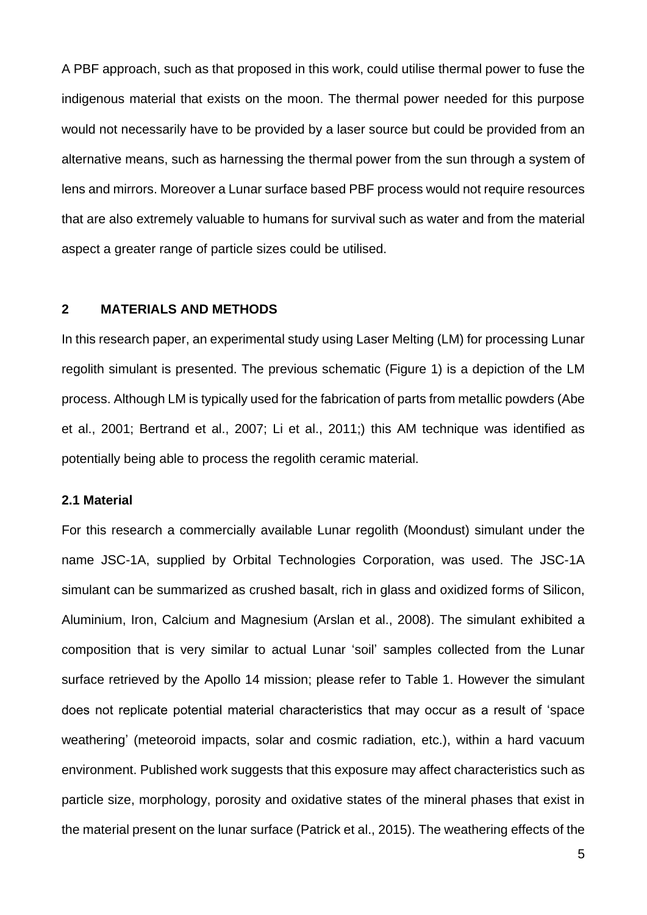A PBF approach, such as that proposed in this work, could utilise thermal power to fuse the indigenous material that exists on the moon. The thermal power needed for this purpose would not necessarily have to be provided by a laser source but could be provided from an alternative means, such as harnessing the thermal power from the sun through a system of lens and mirrors. Moreover a Lunar surface based PBF process would not require resources that are also extremely valuable to humans for survival such as water and from the material aspect a greater range of particle sizes could be utilised.

#### **2 MATERIALS AND METHODS**

In this research paper, an experimental study using Laser Melting (LM) for processing Lunar regolith simulant is presented. The previous schematic (Figure 1) is a depiction of the LM process. Although LM is typically used for the fabrication of parts from metallic powders (Abe et al., 2001; Bertrand et al., 2007; Li et al., 2011;) this AM technique was identified as potentially being able to process the regolith ceramic material.

## **2.1 Material**

For this research a commercially available Lunar regolith (Moondust) simulant under the name JSC-1A, supplied by Orbital Technologies Corporation, was used. The JSC-1A simulant can be summarized as crushed basalt, rich in glass and oxidized forms of Silicon, Aluminium, Iron, Calcium and Magnesium (Arslan et al., 2008). The simulant exhibited a composition that is very similar to actual Lunar 'soil' samples collected from the Lunar surface retrieved by the Apollo 14 mission; please refer to Table 1. However the simulant does not replicate potential material characteristics that may occur as a result of 'space weathering' (meteoroid impacts, solar and cosmic radiation, etc.), within a hard vacuum environment. Published work suggests that this exposure may affect characteristics such as particle size, morphology, porosity and oxidative states of the mineral phases that exist in the material present on the lunar surface (Patrick et al., 2015). The weathering effects of the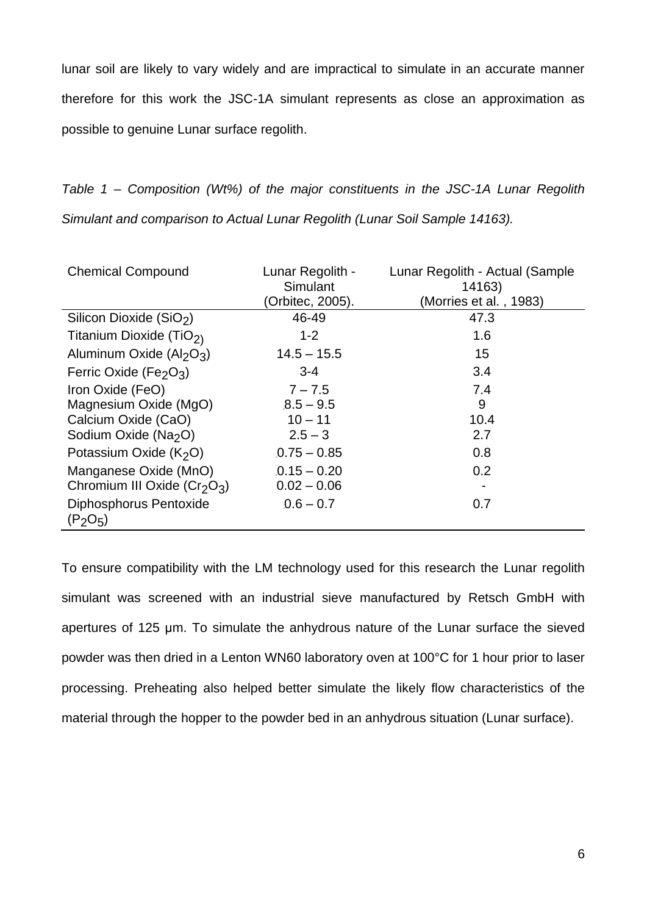lunar soil are likely to vary widely and are impractical to simulate in an accurate manner therefore for this work the JSC-1A simulant represents as close an approximation as possible to genuine Lunar surface regolith.

*Table 1 – Composition (Wt%) of the major constituents in the JSC-1A Lunar Regolith Simulant and comparison to Actual Lunar Regolith (Lunar Soil Sample 14163).*

| <b>Chemical Compound</b>                       | Lunar Regolith -<br>Simulant | Lunar Regolith - Actual (Sample<br>14163) |
|------------------------------------------------|------------------------------|-------------------------------------------|
|                                                | (Orbitec, 2005).             | (Morries et al., 1983)                    |
| Silicon Dioxide (SiO <sub>2</sub> )            | 46-49                        | 47.3                                      |
| Titanium Dioxide (TiO <sub>2)</sub>            | $1 - 2$                      | 1.6                                       |
| Aluminum Oxide $(AI_2O_3)$                     | $14.5 - 15.5$                | 15                                        |
| Ferric Oxide (Fe <sub>2</sub> O <sub>3</sub> ) | $3 - 4$                      | 3.4                                       |
| Iron Oxide (FeO)                               | $7 - 7.5$                    | 7.4                                       |
| Magnesium Oxide (MgO)                          | $8.5 - 9.5$                  | 9                                         |
| Calcium Oxide (CaO)                            | $10 - 11$                    | 10.4                                      |
| Sodium Oxide (Na <sub>2</sub> O)               | $2.5 - 3$                    | 2.7                                       |
| Potassium Oxide $(K2O)$                        | $.0.75 - 0.85$               | 0.8                                       |
| Manganese Oxide (MnO)                          | $.0.15 - 0.20$               | 0.2                                       |
| Chromium III Oxide $(Cr2O3)$                   | $0.02 - 0.06$                |                                           |
| Diphosphorus Pentoxide<br>$(P_2O_5)$           | $0.6 - 0.7$                  | 0.7                                       |

To ensure compatibility with the LM technology used for this research the Lunar regolith simulant was screened with an industrial sieve manufactured by Retsch GmbH with apertures of 125 μm. To simulate the anhydrous nature of the Lunar surface the sieved powder was then dried in a Lenton WN60 laboratory oven at 100°C for 1 hour prior to laser processing. Preheating also helped better simulate the likely flow characteristics of the material through the hopper to the powder bed in an anhydrous situation (Lunar surface).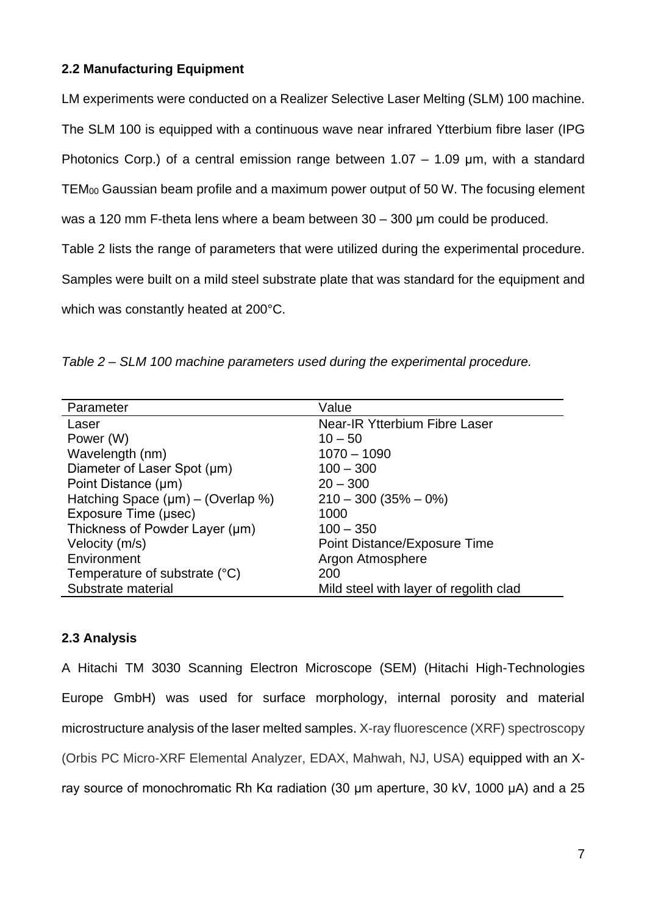# **2.2 Manufacturing Equipment**

LM experiments were conducted on a Realizer Selective Laser Melting (SLM) 100 machine.

The SLM 100 is equipped with a continuous wave near infrared Ytterbium fibre laser (IPG

Photonics Corp.) of a central emission range between 1.07 – 1.09 μm, with a standard

TEM<sup>00</sup> Gaussian beam profile and a maximum power output of 50 W. The focusing element

was a 120 mm F-theta lens where a beam between 30 – 300 μm could be produced.

Table 2 lists the range of parameters that were utilized during the experimental procedure.

Samples were built on a mild steel substrate plate that was standard for the equipment and which was constantly heated at 200°C.

*Table 2 – SLM 100 machine parameters used during the experimental procedure.*

| Parameter                               | Value                                  |
|-----------------------------------------|----------------------------------------|
| Laser                                   | <b>Near-IR Ytterbium Fibre Laser</b>   |
| Power (W)                               | $10 - 50$                              |
| Wavelength (nm)                         | $1070 - 1090$                          |
| Diameter of Laser Spot (µm)             | $100 - 300$                            |
| Point Distance (µm)                     | $20 - 300$                             |
| Hatching Space $(\mu m) - (Overlap \%)$ | $210 - 300 (35\% - 0\%)$               |
| Exposure Time (µsec)                    | 1000                                   |
| Thickness of Powder Layer (µm)          | $100 - 350$                            |
| Velocity (m/s)                          | Point Distance/Exposure Time           |
| Environment                             | Argon Atmosphere                       |
| Temperature of substrate (°C)           | 200                                    |
| Substrate material                      | Mild steel with layer of regolith clad |

# **2.3 Analysis**

A Hitachi TM 3030 Scanning Electron Microscope (SEM) (Hitachi High-Technologies Europe GmbH) was used for surface morphology, internal porosity and material microstructure analysis of the laser melted samples. X-ray fluorescence (XRF) spectroscopy (Orbis PC Micro-XRF Elemental Analyzer, EDAX, Mahwah, NJ, USA) equipped with an Xray source of monochromatic Rh Kα radiation (30 μm aperture, 30 kV, 1000 μA) and a 25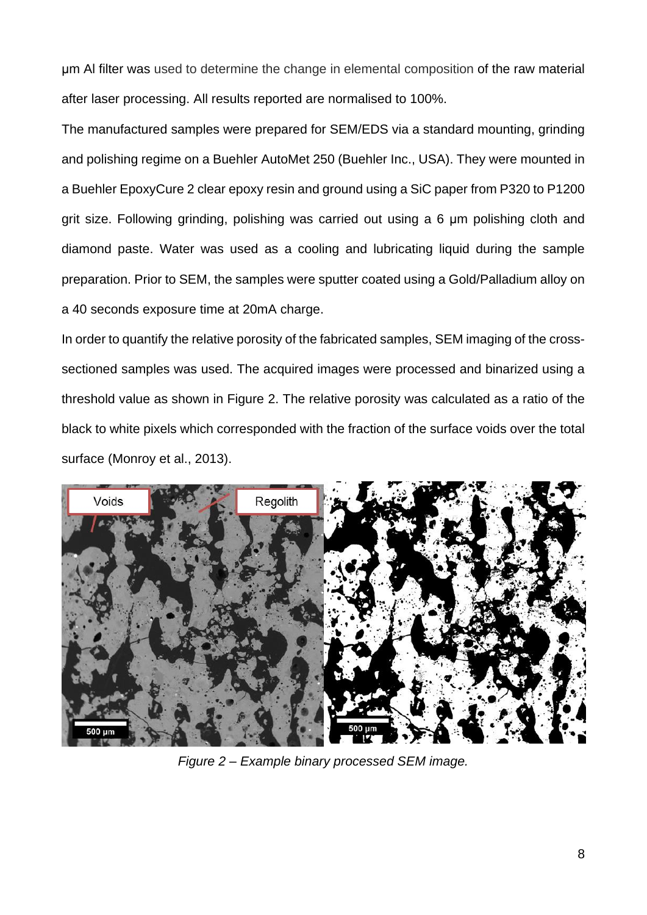μm Al filter was used to determine the change in elemental composition of the raw material after laser processing. All results reported are normalised to 100%.

The manufactured samples were prepared for SEM/EDS via a standard mounting, grinding and polishing regime on a Buehler AutoMet 250 (Buehler Inc., USA). They were mounted in a Buehler EpoxyCure 2 clear epoxy resin and ground using a SiC paper from P320 to P1200 grit size. Following grinding, polishing was carried out using a 6 μm polishing cloth and diamond paste. Water was used as a cooling and lubricating liquid during the sample preparation. Prior to SEM, the samples were sputter coated using a Gold/Palladium alloy on a 40 seconds exposure time at 20mA charge.

In order to quantify the relative porosity of the fabricated samples, SEM imaging of the crosssectioned samples was used. The acquired images were processed and binarized using a threshold value as shown in Figure 2. The relative porosity was calculated as a ratio of the black to white pixels which corresponded with the fraction of the surface voids over the total surface (Monroy et al., 2013).



*Figure 2 – Example binary processed SEM image.*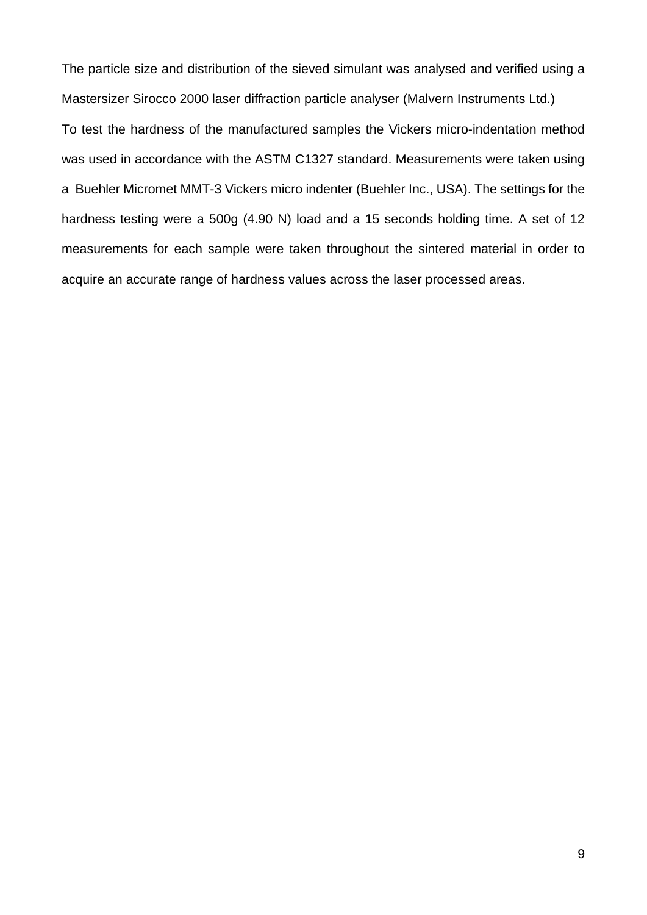The particle size and distribution of the sieved simulant was analysed and verified using a Mastersizer Sirocco 2000 laser diffraction particle analyser (Malvern Instruments Ltd.) To test the hardness of the manufactured samples the Vickers micro-indentation method was used in accordance with the ASTM C1327 standard. Measurements were taken using a Buehler Micromet MMT-3 Vickers micro indenter (Buehler Inc., USA). The settings for the hardness testing were a 500g (4.90 N) load and a 15 seconds holding time. A set of 12 measurements for each sample were taken throughout the sintered material in order to acquire an accurate range of hardness values across the laser processed areas.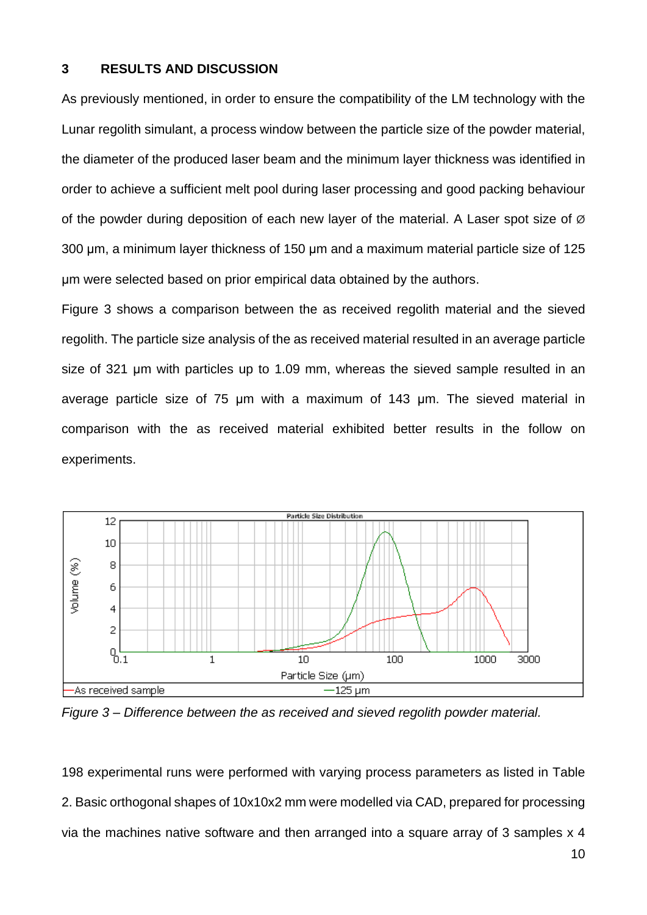## **3 RESULTS AND DISCUSSION**

As previously mentioned, in order to ensure the compatibility of the LM technology with the Lunar regolith simulant, a process window between the particle size of the powder material, the diameter of the produced laser beam and the minimum layer thickness was identified in order to achieve a sufficient melt pool during laser processing and good packing behaviour of the powder during deposition of each new layer of the material. A Laser spot size of  $\varnothing$ 300 μm, a minimum layer thickness of 150 μm and a maximum material particle size of 125 μm were selected based on prior empirical data obtained by the authors.

Figure 3 shows a comparison between the as received regolith material and the sieved regolith. The particle size analysis of the as received material resulted in an average particle size of 321 μm with particles up to 1.09 mm, whereas the sieved sample resulted in an average particle size of 75 μm with a maximum of 143 μm. The sieved material in comparison with the as received material exhibited better results in the follow on experiments.



*Figure 3 – Difference between the as received and sieved regolith powder material.*

198 experimental runs were performed with varying process parameters as listed in Table 2. Basic orthogonal shapes of 10x10x2 mm were modelled via CAD, prepared for processing via the machines native software and then arranged into a square array of 3 samples x 4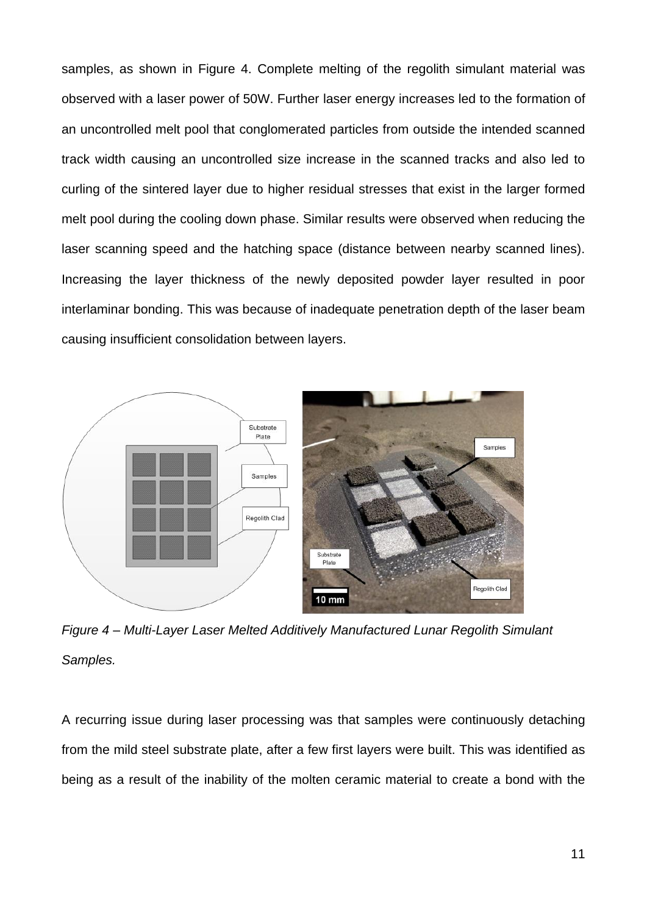samples, as shown in Figure 4. Complete melting of the regolith simulant material was observed with a laser power of 50W. Further laser energy increases led to the formation of an uncontrolled melt pool that conglomerated particles from outside the intended scanned track width causing an uncontrolled size increase in the scanned tracks and also led to curling of the sintered layer due to higher residual stresses that exist in the larger formed melt pool during the cooling down phase. Similar results were observed when reducing the laser scanning speed and the hatching space (distance between nearby scanned lines). Increasing the layer thickness of the newly deposited powder layer resulted in poor interlaminar bonding. This was because of inadequate penetration depth of the laser beam causing insufficient consolidation between layers.



*Figure 4 – Multi-Layer Laser Melted Additively Manufactured Lunar Regolith Simulant Samples.*

A recurring issue during laser processing was that samples were continuously detaching from the mild steel substrate plate, after a few first layers were built. This was identified as being as a result of the inability of the molten ceramic material to create a bond with the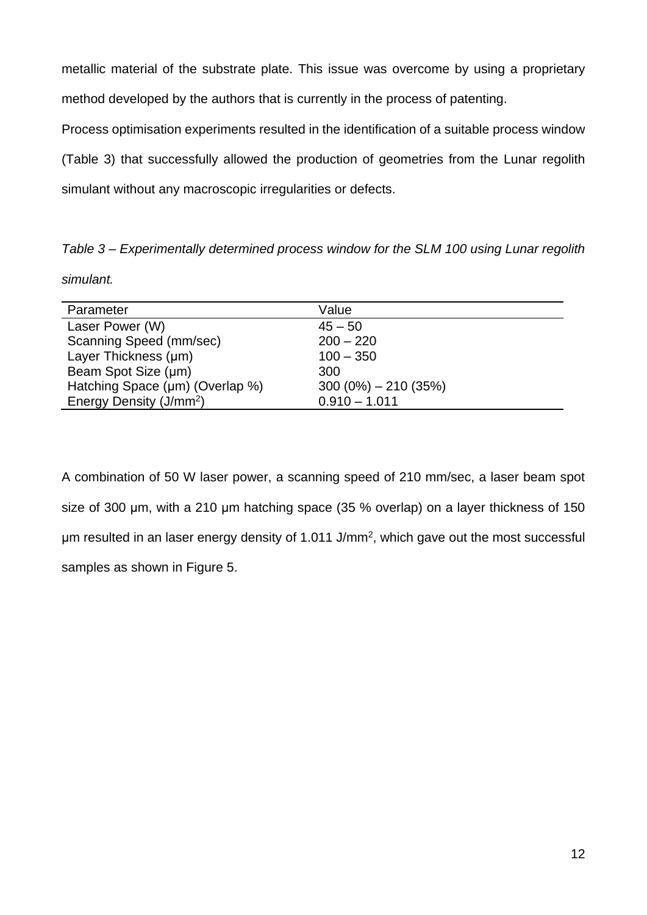metallic material of the substrate plate. This issue was overcome by using a proprietary method developed by the authors that is currently in the process of patenting.

Process optimisation experiments resulted in the identification of a suitable process window (Table 3) that successfully allowed the production of geometries from the Lunar regolith simulant without any macroscopic irregularities or defects.

*Table 3 – Experimentally determined process window for the SLM 100 using Lunar regolith simulant.*

| Parameter                           | Value                  |
|-------------------------------------|------------------------|
| Laser Power (W)                     | $45 - 50$              |
| Scanning Speed (mm/sec)             | $200 - 220$            |
| Layer Thickness (µm)                | $100 - 350$            |
| Beam Spot Size (µm)                 | 300                    |
| Hatching Space (µm) (Overlap %)     | $300(0\%) - 210(35\%)$ |
| Energy Density (J/mm <sup>2</sup> ) | $0.910 - 1.011$        |

A combination of 50 W laser power, a scanning speed of 210 mm/sec, a laser beam spot size of 300 μm, with a 210 μm hatching space (35 % overlap) on a layer thickness of 150 μm resulted in an laser energy density of 1.011 J/mm<sup>2</sup>, which gave out the most successful samples as shown in Figure 5.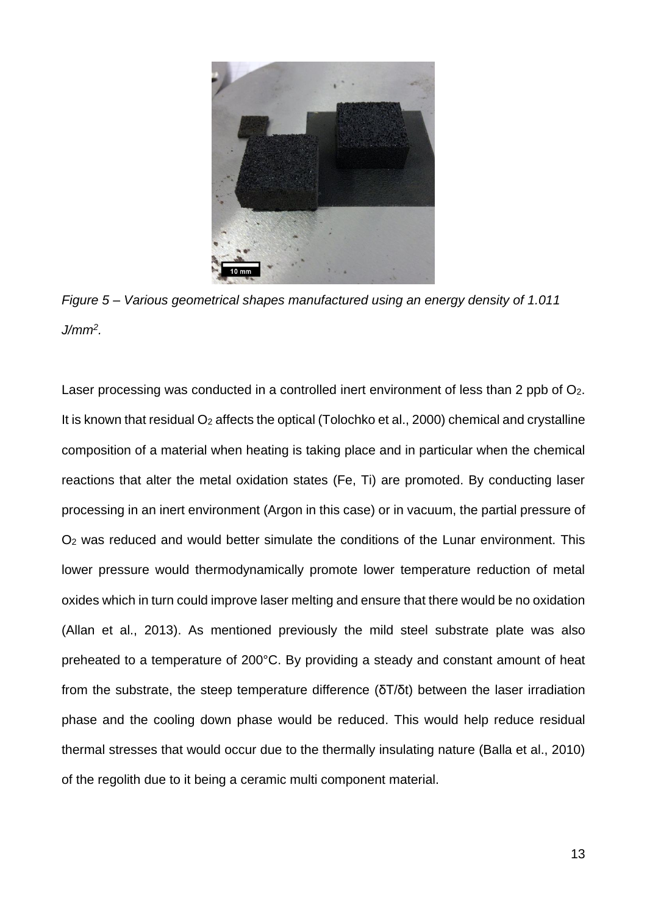

*Figure 5 – Various geometrical shapes manufactured using an energy density of 1.011 J/mm<sup>2</sup> .*

Laser processing was conducted in a controlled inert environment of less than 2 ppb of O<sub>2</sub>. It is known that residual O<sub>2</sub> affects the optical (Tolochko et al., 2000) chemical and crystalline composition of a material when heating is taking place and in particular when the chemical reactions that alter the metal oxidation states (Fe, Ti) are promoted. By conducting laser processing in an inert environment (Argon in this case) or in vacuum, the partial pressure of O<sup>2</sup> was reduced and would better simulate the conditions of the Lunar environment. This lower pressure would thermodynamically promote lower temperature reduction of metal oxides which in turn could improve laser melting and ensure that there would be no oxidation (Allan et al., 2013). As mentioned previously the mild steel substrate plate was also preheated to a temperature of 200°C. By providing a steady and constant amount of heat from the substrate, the steep temperature difference (δΤ/δt) between the laser irradiation phase and the cooling down phase would be reduced. This would help reduce residual thermal stresses that would occur due to the thermally insulating nature (Balla et al., 2010) of the regolith due to it being a ceramic multi component material.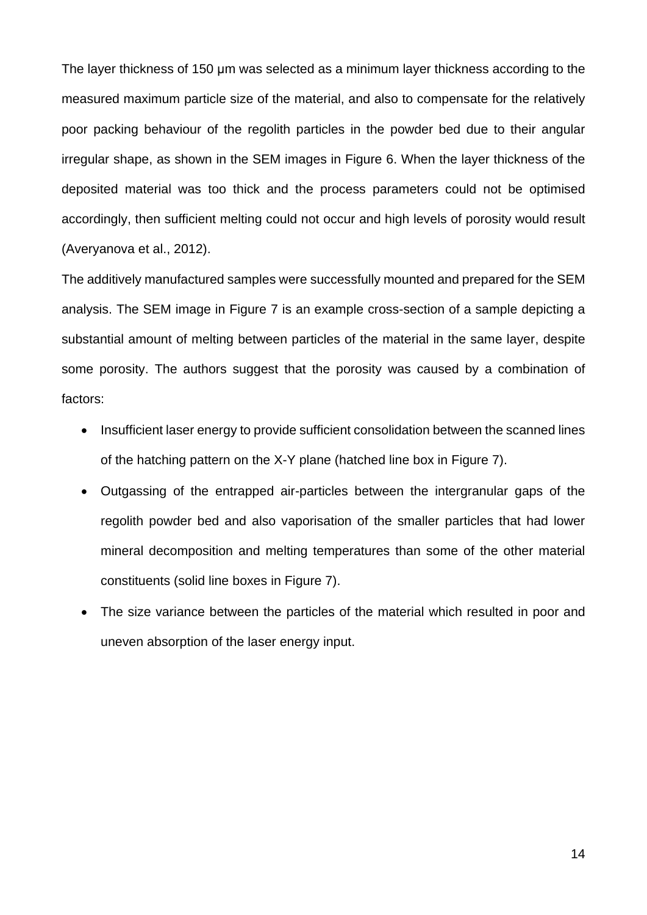The layer thickness of 150 μm was selected as a minimum layer thickness according to the measured maximum particle size of the material, and also to compensate for the relatively poor packing behaviour of the regolith particles in the powder bed due to their angular irregular shape, as shown in the SEM images in Figure 6. When the layer thickness of the deposited material was too thick and the process parameters could not be optimised accordingly, then sufficient melting could not occur and high levels of porosity would result (Averyanova et al., 2012).

The additively manufactured samples were successfully mounted and prepared for the SEM analysis. The SEM image in Figure 7 is an example cross-section of a sample depicting a substantial amount of melting between particles of the material in the same layer, despite some porosity. The authors suggest that the porosity was caused by a combination of factors:

- Insufficient laser energy to provide sufficient consolidation between the scanned lines of the hatching pattern on the X-Y plane (hatched line box in Figure 7).
- Outgassing of the entrapped air-particles between the intergranular gaps of the regolith powder bed and also vaporisation of the smaller particles that had lower mineral decomposition and melting temperatures than some of the other material constituents (solid line boxes in Figure 7).
- The size variance between the particles of the material which resulted in poor and uneven absorption of the laser energy input.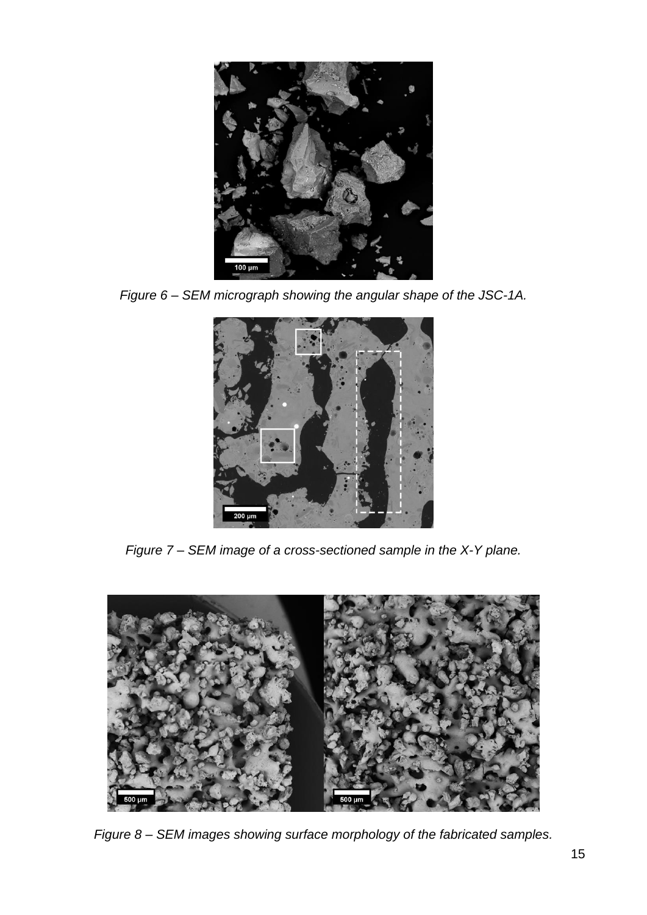

*Figure 6 – SEM micrograph showing the angular shape of the JSC-1A.*



*Figure 7 – SEM image of a cross-sectioned sample in the X-Y plane.*



*Figure 8 – SEM images showing surface morphology of the fabricated samples.*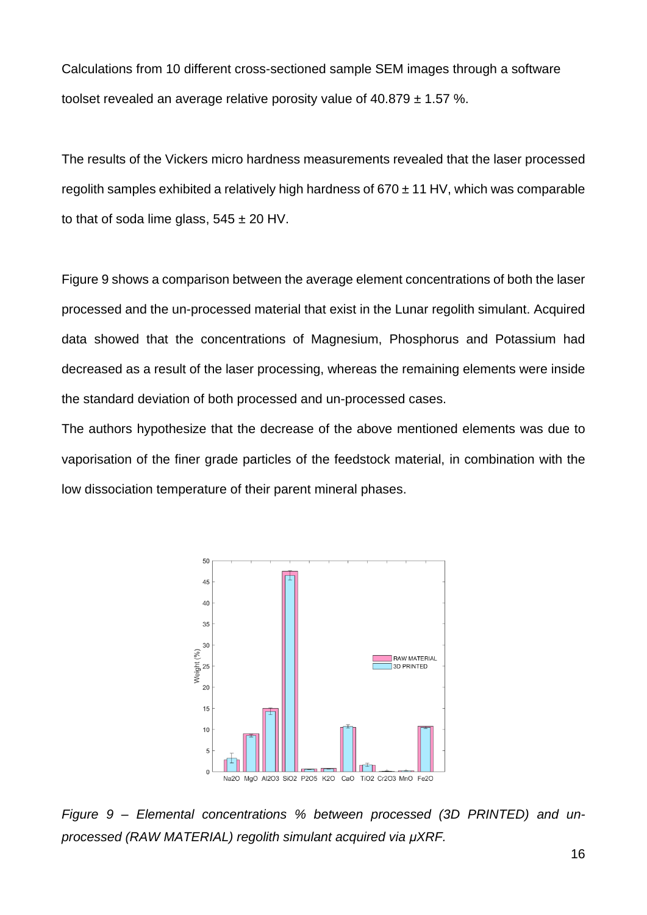Calculations from 10 different cross-sectioned sample SEM images through a software toolset revealed an average relative porosity value of  $40.879 \pm 1.57$  %.

The results of the Vickers micro hardness measurements revealed that the laser processed regolith samples exhibited a relatively high hardness of  $670 \pm 11$  HV, which was comparable to that of soda lime glass,  $545 \pm 20$  HV.

Figure 9 shows a comparison between the average element concentrations of both the laser processed and the un-processed material that exist in the Lunar regolith simulant. Acquired data showed that the concentrations of Magnesium, Phosphorus and Potassium had decreased as a result of the laser processing, whereas the remaining elements were inside the standard deviation of both processed and un-processed cases.

The authors hypothesize that the decrease of the above mentioned elements was due to vaporisation of the finer grade particles of the feedstock material, in combination with the low dissociation temperature of their parent mineral phases.



*Figure 9 – Elemental concentrations % between processed (3D PRINTED) and unprocessed (RAW MATERIAL) regolith simulant acquired via μXRF.*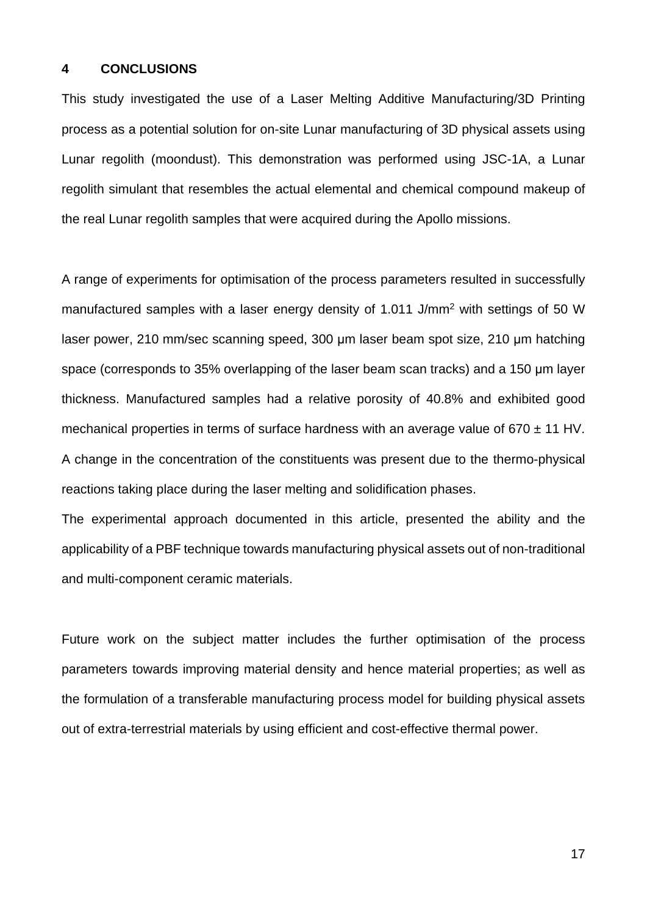## **4 CONCLUSIONS**

This study investigated the use of a Laser Melting Additive Manufacturing/3D Printing process as a potential solution for on-site Lunar manufacturing of 3D physical assets using Lunar regolith (moondust). This demonstration was performed using JSC-1A, a Lunar regolith simulant that resembles the actual elemental and chemical compound makeup of the real Lunar regolith samples that were acquired during the Apollo missions.

A range of experiments for optimisation of the process parameters resulted in successfully manufactured samples with a laser energy density of 1.011 J/mm<sup>2</sup> with settings of 50 W laser power, 210 mm/sec scanning speed, 300 μm laser beam spot size, 210 μm hatching space (corresponds to 35% overlapping of the laser beam scan tracks) and a 150 μm layer thickness. Manufactured samples had a relative porosity of 40.8% and exhibited good mechanical properties in terms of surface hardness with an average value of  $670 \pm 11$  HV. A change in the concentration of the constituents was present due to the thermo-physical reactions taking place during the laser melting and solidification phases.

The experimental approach documented in this article, presented the ability and the applicability of a PBF technique towards manufacturing physical assets out of non-traditional and multi-component ceramic materials.

Future work on the subject matter includes the further optimisation of the process parameters towards improving material density and hence material properties; as well as the formulation of a transferable manufacturing process model for building physical assets out of extra-terrestrial materials by using efficient and cost-effective thermal power.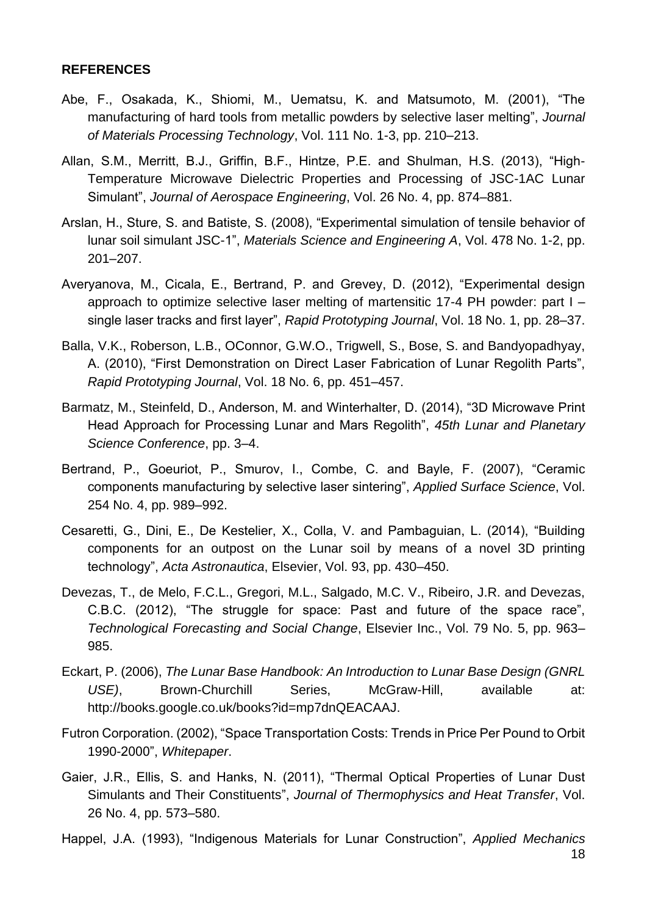# **REFERENCES**

- Abe, F., Osakada, K., Shiomi, M., Uematsu, K. and Matsumoto, M. (2001), "The manufacturing of hard tools from metallic powders by selective laser melting", *Journal of Materials Processing Technology*, Vol. 111 No. 1-3, pp. 210–213.
- Allan, S.M., Merritt, B.J., Griffin, B.F., Hintze, P.E. and Shulman, H.S. (2013), "High-Temperature Microwave Dielectric Properties and Processing of JSC-1AC Lunar Simulant", *Journal of Aerospace Engineering*, Vol. 26 No. 4, pp. 874–881.
- Arslan, H., Sture, S. and Batiste, S. (2008), "Experimental simulation of tensile behavior of lunar soil simulant JSC-1", *Materials Science and Engineering A*, Vol. 478 No. 1-2, pp. 201–207.
- Averyanova, M., Cicala, E., Bertrand, P. and Grevey, D. (2012), "Experimental design approach to optimize selective laser melting of martensitic 17-4 PH powder: part I – single laser tracks and first layer", *Rapid Prototyping Journal*, Vol. 18 No. 1, pp. 28–37.
- Balla, V.K., Roberson, L.B., OConnor, G.W.O., Trigwell, S., Bose, S. and Bandyopadhyay, A. (2010), "First Demonstration on Direct Laser Fabrication of Lunar Regolith Parts", *Rapid Prototyping Journal*, Vol. 18 No. 6, pp. 451–457.
- Barmatz, M., Steinfeld, D., Anderson, M. and Winterhalter, D. (2014), "3D Microwave Print Head Approach for Processing Lunar and Mars Regolith", *45th Lunar and Planetary Science Conference*, pp. 3–4.
- Bertrand, P., Goeuriot, P., Smurov, I., Combe, C. and Bayle, F. (2007), "Ceramic components manufacturing by selective laser sintering", *Applied Surface Science*, Vol. 254 No. 4, pp. 989–992.
- Cesaretti, G., Dini, E., De Kestelier, X., Colla, V. and Pambaguian, L. (2014), "Building components for an outpost on the Lunar soil by means of a novel 3D printing technology", *Acta Astronautica*, Elsevier, Vol. 93, pp. 430–450.
- Devezas, T., de Melo, F.C.L., Gregori, M.L., Salgado, M.C. V., Ribeiro, J.R. and Devezas, C.B.C. (2012), "The struggle for space: Past and future of the space race", *Technological Forecasting and Social Change*, Elsevier Inc., Vol. 79 No. 5, pp. 963– 985.
- Eckart, P. (2006), *The Lunar Base Handbook: An Introduction to Lunar Base Design (GNRL USE)*, Brown-Churchill Series, McGraw-Hill, available at: http://books.google.co.uk/books?id=mp7dnQEACAAJ.
- Futron Corporation. (2002), "Space Transportation Costs: Trends in Price Per Pound to Orbit 1990-2000", *Whitepaper*.
- Gaier, J.R., Ellis, S. and Hanks, N. (2011), "Thermal Optical Properties of Lunar Dust Simulants and Their Constituents", *Journal of Thermophysics and Heat Transfer*, Vol. 26 No. 4, pp. 573–580.
- Happel, J.A. (1993), "Indigenous Materials for Lunar Construction", *Applied Mechanics*